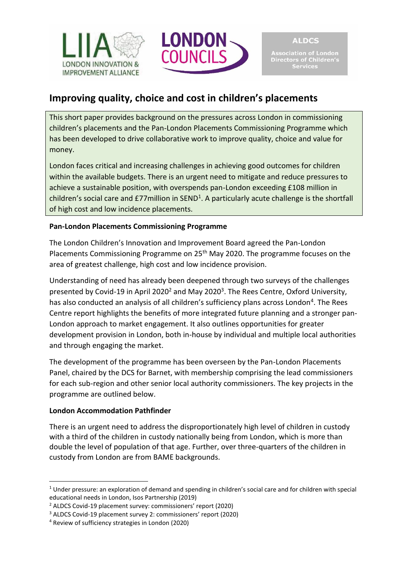



# **Improving quality, choice and cost in children's placements**

This short paper provides background on the pressures across London in commissioning children's placements and the Pan-London Placements Commissioning Programme which has been developed to drive collaborative work to improve quality, choice and value for money.

London faces critical and increasing challenges in achieving good outcomes for children within the available budgets. There is an urgent need to mitigate and reduce pressures to achieve a sustainable position, with overspends pan-London exceeding £108 million in children's social care and  $E77$ million in SEND<sup>1</sup>. A particularly acute challenge is the shortfall of high cost and low incidence placements.

# **Pan-London Placements Commissioning Programme**

The London Children's Innovation and Improvement Board agreed the Pan-London Placements Commissioning Programme on 25<sup>th</sup> May 2020. The programme focuses on the area of greatest challenge, high cost and low incidence provision.

Understanding of need has already been deepened through two surveys of the challenges presented by Covid-19 in April 2020<sup>2</sup> and May 2020<sup>3</sup>. The Rees Centre, Oxford University, has also conducted an analysis of all children's sufficiency plans across London<sup>4</sup>. The Rees Centre report highlights the benefits of more integrated future planning and a stronger pan-London approach to market engagement. It also outlines opportunities for greater development provision in London, both in-house by individual and multiple local authorities and through engaging the market.

The development of the programme has been overseen by the Pan-London Placements Panel, chaired by the DCS for Barnet, with membership comprising the lead commissioners for each sub-region and other senior local authority commissioners. The key projects in the programme are outlined below.

## **London Accommodation Pathfinder**

There is an urgent need to address the disproportionately high level of children in custody with a third of the children in custody nationally being from London, which is more than double the level of population of that age. Further, over three-quarters of the children in custody from London are from BAME backgrounds.

 $1$  Under pressure: an exploration of demand and spending in children's social care and for children with special educational needs in London, Isos Partnership (2019)

<sup>2</sup> ALDCS Covid-19 placement survey: commissioners' report (2020)

<sup>3</sup> ALDCS Covid-19 placement survey 2: commissioners' report (2020)

<sup>4</sup> Review of sufficiency strategies in London (2020)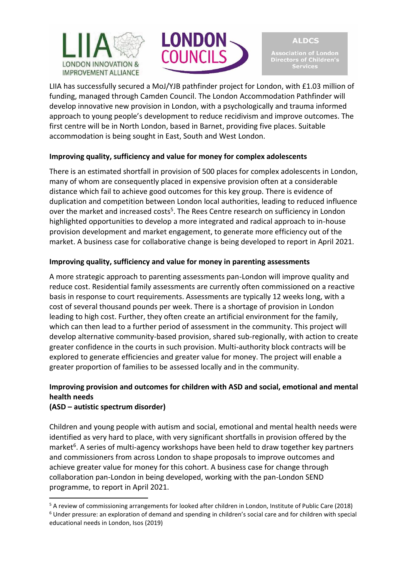



**ALDCS** ociation of London Directors of Children's **Services** 

LIIA has successfully secured a MoJ/YJB pathfinder project for London, with £1.03 million of funding, managed through Camden Council. The London Accommodation Pathfinder will develop innovative new provision in London, with a psychologically and trauma informed approach to young people's development to reduce recidivism and improve outcomes. The first centre will be in North London, based in Barnet, providing five places. Suitable accommodation is being sought in East, South and West London.

## **Improving quality, sufficiency and value for money for complex adolescents**

There is an estimated shortfall in provision of 500 places for complex adolescents in London, many of whom are consequently placed in expensive provision often at a considerable distance which fail to achieve good outcomes for this key group. There is evidence of duplication and competition between London local authorities, leading to reduced influence over the market and increased costs<sup>5</sup>. The Rees Centre research on sufficiency in London highlighted opportunities to develop a more integrated and radical approach to in-house provision development and market engagement, to generate more efficiency out of the market. A business case for collaborative change is being developed to report in April 2021.

### **Improving quality, sufficiency and value for money in parenting assessments**

A more strategic approach to parenting assessments pan-London will improve quality and reduce cost. Residential family assessments are currently often commissioned on a reactive basis in response to court requirements. Assessments are typically 12 weeks long, with a cost of several thousand pounds per week. There is a shortage of provision in London leading to high cost. Further, they often create an artificial environment for the family, which can then lead to a further period of assessment in the community. This project will develop alternative community-based provision, shared sub-regionally, with action to create greater confidence in the courts in such provision. Multi-authority block contracts will be explored to generate efficiencies and greater value for money. The project will enable a greater proportion of families to be assessed locally and in the community.

# **Improving provision and outcomes for children with ASD and social, emotional and mental health needs**

## **(ASD – autistic spectrum disorder)**

Children and young people with autism and social, emotional and mental health needs were identified as very hard to place, with very significant shortfalls in provision offered by the market<sup>6</sup>. A series of multi-agency workshops have been held to draw together key partners and commissioners from across London to shape proposals to improve outcomes and achieve greater value for money for this cohort. A business case for change through collaboration pan-London in being developed, working with the pan-London SEND programme, to report in April 2021.

<sup>5</sup> A review of commissioning arrangements for looked after children in London, Institute of Public Care (2018) <sup>6</sup> Under pressure: an exploration of demand and spending in children's social care and for children with special educational needs in London, Isos (2019)